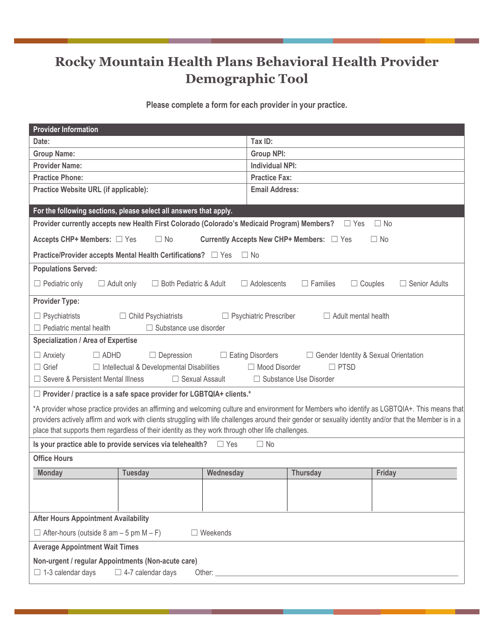## **Rocky Mountain Health Plans Behavioral Health Provider Demographic Tool**

**Please complete a form for each provider in your practice.** 

| <b>Provider Information</b>                                                                                                                               |                |           |                        |                 |        |  |
|-----------------------------------------------------------------------------------------------------------------------------------------------------------|----------------|-----------|------------------------|-----------------|--------|--|
| Date:                                                                                                                                                     |                |           | Tax ID:                |                 |        |  |
| <b>Group Name:</b>                                                                                                                                        |                |           | <b>Group NPI:</b>      |                 |        |  |
| <b>Provider Name:</b>                                                                                                                                     |                |           | <b>Individual NPI:</b> |                 |        |  |
| <b>Practice Phone:</b>                                                                                                                                    |                |           | <b>Practice Fax:</b>   |                 |        |  |
| Practice Website URL (if applicable):                                                                                                                     |                |           | <b>Email Address:</b>  |                 |        |  |
| For the following sections, please select all answers that apply.                                                                                         |                |           |                        |                 |        |  |
| Provider currently accepts new Health First Colorado (Colorado's Medicaid Program) Members?<br>$\Box$ No<br>$\Box$ Yes                                    |                |           |                        |                 |        |  |
| Currently Accepts New CHP+ Members: □ Yes<br>Accepts CHP+ Members: □ Yes<br>$\Box$ No<br>$\Box$ No                                                        |                |           |                        |                 |        |  |
| Practice/Provider accepts Mental Health Certifications? □ Yes<br>$\Box$ No                                                                                |                |           |                        |                 |        |  |
| <b>Populations Served:</b>                                                                                                                                |                |           |                        |                 |        |  |
| $\Box$ Adult only<br>□ Both Pediatric & Adult<br>$\Box$ Adolescents<br>$\Box$ Families<br>$\Box$ Couples<br>$\Box$ Pediatric only<br>$\Box$ Senior Adults |                |           |                        |                 |        |  |
| <b>Provider Type:</b>                                                                                                                                     |                |           |                        |                 |        |  |
| $\Box$ Psychiatrists<br>$\Box$ Child Psychiatrists<br>$\Box$ Psychiatric Prescriber<br>$\Box$ Adult mental health                                         |                |           |                        |                 |        |  |
| $\Box$ Pediatric mental health<br>□ Substance use disorder                                                                                                |                |           |                        |                 |        |  |
| Specialization / Area of Expertise                                                                                                                        |                |           |                        |                 |        |  |
| $\Box$ ADHD<br>$\Box$ Depression<br>$\Box$ Eating Disorders<br>$\Box$ Anxiety<br>□ Gender Identity & Sexual Orientation                                   |                |           |                        |                 |        |  |
| $\Box$ Grief<br>$\Box$ Intellectual & Developmental Disabilities<br>□ Mood Disorder<br>$\Box$ PTSD                                                        |                |           |                        |                 |        |  |
| □ Severe & Persistent Mental Illness<br>$\Box$ Sexual Assault<br>$\Box$ Substance Use Disorder                                                            |                |           |                        |                 |        |  |
| $\Box$ Provider / practice is a safe space provider for LGBTQIA+ clients.*                                                                                |                |           |                        |                 |        |  |
| *A provider whose practice provides an affirming and welcoming culture and environment for Members who identify as LGBTQIA+. This means that              |                |           |                        |                 |        |  |
| providers actively affirm and work with clients struggling with life challenges around their gender or sexuality identity and/or that the Member is in a  |                |           |                        |                 |        |  |
| place that supports them regardless of their identity as they work through other life challenges.                                                         |                |           |                        |                 |        |  |
| Is your practice able to provide services via telehealth?<br>$\Box$ Yes<br>$\Box$ No                                                                      |                |           |                        |                 |        |  |
| <b>Office Hours</b>                                                                                                                                       |                |           |                        |                 |        |  |
| <b>Monday</b>                                                                                                                                             | <b>Tuesday</b> | Wednesday |                        | <b>Thursday</b> | Friday |  |
|                                                                                                                                                           |                |           |                        |                 |        |  |
|                                                                                                                                                           |                |           |                        |                 |        |  |
| <b>After Hours Appointment Availability</b>                                                                                                               |                |           |                        |                 |        |  |
| $\Box$ After-hours (outside 8 am – 5 pm M – F)<br>$\Box$ Weekends                                                                                         |                |           |                        |                 |        |  |
| <b>Average Appointment Wait Times</b>                                                                                                                     |                |           |                        |                 |        |  |
| Non-urgent / regular Appointments (Non-acute care)                                                                                                        |                |           |                        |                 |        |  |
| $\Box$ 1-3 calendar days<br>$\Box$ 4-7 calendar days                                                                                                      |                |           |                        |                 |        |  |